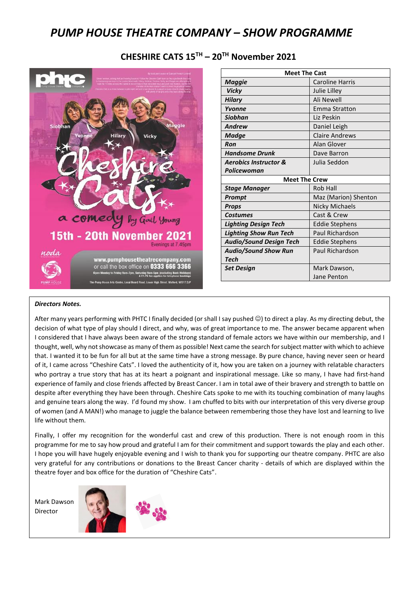# *PUMP HOUSE THEATRE COMPANY – SHOW PROGRAMME*

### **CHESHIRE CATS 15TH – 20TH November 2021**



#### *Directors Notes.*

After many years performing with PHTC I finally decided (or shall I say pushed ☺) to direct a play. As my directing debut, the I considered that I have always been aware of the strong standard of female actors we have within our membership, and I decision of what type of play should I direct, and why, was of great importance to me. The answer became apparent when thought, well, why not showcase as many of them as possible! Next came the search for subject matter with which to achieve that. I wanted it to be fun for all but at the same time have a strong message. By pure chance, having never seen or heard of it, I came across "Cheshire Cats". I loved the authenticity of it, how you are taken on a journey with relatable characters who portray a true story that has at its heart a poignant and inspirational message. Like so many, I have had first-hand experience of family and close friends affected by Breast Cancer. I am in total awe of their bravery and strength to battle on despite after everything they have been through. Cheshire Cats spoke to me with its touching combination of many laughs and genuine tears along the way. I'd found my show. I am chuffed to bits with our interpretation of this very diverse group of women (and A MAN!) who manage to juggle the balance between remembering those they have lost and learning to live life without them.

Finally, I offer my recognition for the wonderful cast and crew of this production. There is not enough room in this programme for me to say how proud and grateful I am for their commitment and support towards the play and each other. I hope you will have hugely enjoyable evening and I wish to thank you for supporting our theatre company. PHTC are also very grateful for any contributions or donations to the Breast Cancer charity - details of which are displayed within the theatre foyer and box office for the duration of "Cheshire Cats".

Mark Dawson Director